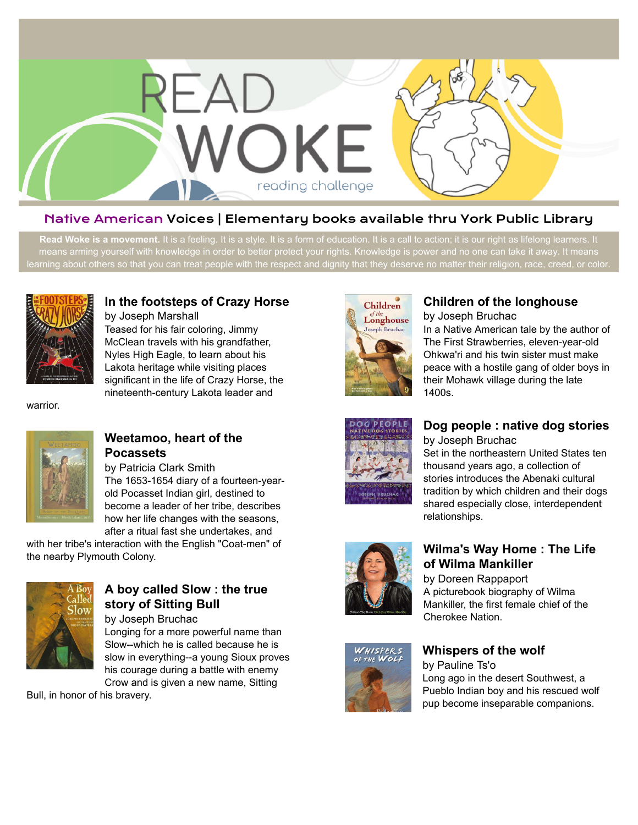

## Native American Voices | Elementary books available thru York Public Library

Read Woke is a movement. It is a feeling. It is a style. It is a form of education. It is a call to action; it is our right as lifelong learners. It means arming yourself with knowledge in order to better protect your rights. Knowledge is power and no one can take it away. It means learning about others so that you can treat people with the respect and dignity that they deserve no matter their religion, race, creed, or color.



# **[In the footsteps of Crazy Horse](https://libraryaware.com/269CX8)**

by Joseph Marshall Teased for his fair coloring, Jimmy McClean travels with his grandfather, Nyles High Eagle, to learn about his Lakota heritage while visiting places significant in the life of Crazy Horse, the nineteenth-century Lakota leader and

warrior.



## **[Weetamoo, heart of the](https://libraryaware.com/269CX9) [Pocassets](https://libraryaware.com/269CX9)**

by Patricia Clark Smith The 1653-1654 diary of a fourteen-yearold Pocasset Indian girl, destined to become a leader of her tribe, describes how her life changes with the seasons,

after a ritual fast she undertakes, and with her tribe's interaction with the English "Coat-men" of the nearby Plymouth Colony.



# **[A boy called Slow : the true](https://libraryaware.com/269CXA) [story of Sitting Bull](https://libraryaware.com/269CXA)**

by Joseph Bruchac Longing for a more powerful name than Slow--which he is called because he is slow in everything--a young Sioux proves his courage during a battle with enemy Crow and is given a new name, Sitting

Bull, in honor of his bravery.



# **[Children of the longhouse](https://libraryaware.com/269CXB)**

by Joseph Bruchac

In a Native American tale by the author of The First Strawberries, eleven-year-old Ohkwa'ri and his twin sister must make peace with a hostile gang of older boys in their Mohawk village during the late 1400s.



#### **[Dog people : native dog stories](https://libraryaware.com/269CXC)** by Joseph Bruchac

Set in the northeastern United States ten thousand years ago, a collection of stories introduces the Abenaki cultural tradition by which children and their dogs shared especially close, interdependent relationships.



## **[Wilma's Way Home : The Life](https://libraryaware.com/269CXD) [of Wilma Mankiller](https://libraryaware.com/269CXD)**

by Doreen Rappaport A picturebook biography of Wilma Mankiller, the first female chief of the Cherokee Nation.



#### **[Whispers of the wolf](https://libraryaware.com/269CXE)**

by Pauline Ts'o Long ago in the desert Southwest, a Pueblo Indian boy and his rescued wolf pup become inseparable companions.